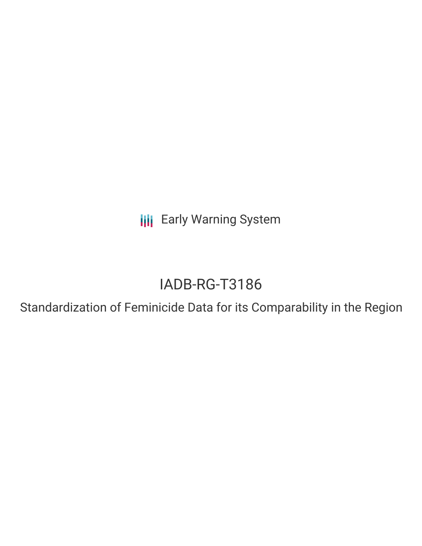**III** Early Warning System

# IADB-RG-T3186

Standardization of Feminicide Data for its Comparability in the Region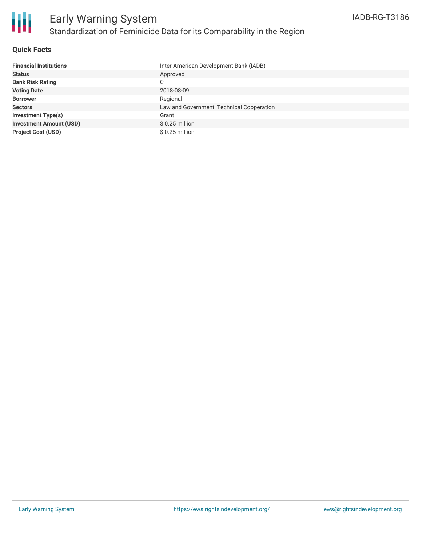

### **Quick Facts**

| <b>Financial Institutions</b>  | Inter-American Development Bank (IADB)    |
|--------------------------------|-------------------------------------------|
| <b>Status</b>                  | Approved                                  |
| <b>Bank Risk Rating</b>        | С                                         |
| <b>Voting Date</b>             | 2018-08-09                                |
| <b>Borrower</b>                | Regional                                  |
| <b>Sectors</b>                 | Law and Government, Technical Cooperation |
| <b>Investment Type(s)</b>      | Grant                                     |
| <b>Investment Amount (USD)</b> | $$0.25$ million                           |
| <b>Project Cost (USD)</b>      | \$0.25 million                            |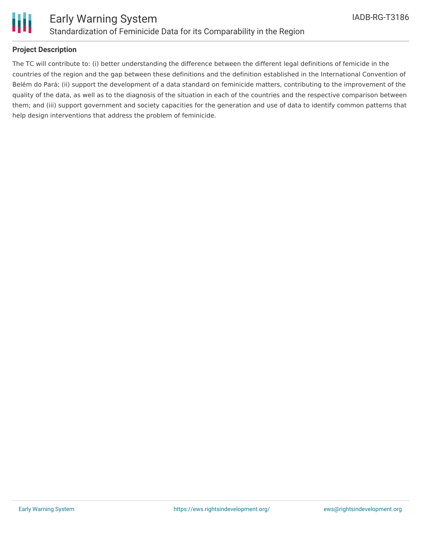

## **Project Description**

The TC will contribute to: (i) better understanding the difference between the different legal definitions of femicide in the countries of the region and the gap between these definitions and the definition established in the International Convention of Belém do Pará; (ii) support the development of a data standard on feminicide matters, contributing to the improvement of the quality of the data, as well as to the diagnosis of the situation in each of the countries and the respective comparison between them; and (iii) support government and society capacities for the generation and use of data to identify common patterns that help design interventions that address the problem of feminicide.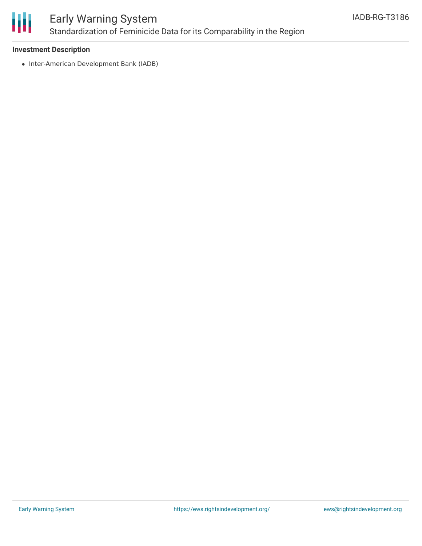

# Early Warning System Standardization of Feminicide Data for its Comparability in the Region

## **Investment Description**

• Inter-American Development Bank (IADB)